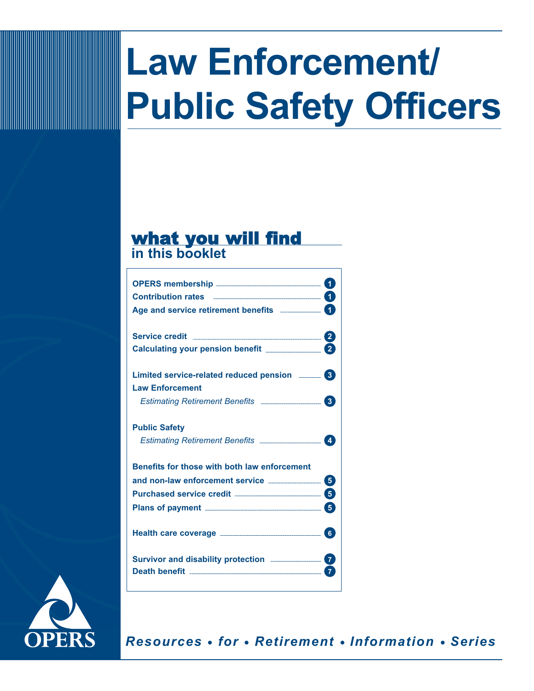### what you will find **in this booklet**

|                                                                                                                               | $\blacktriangleleft$ |
|-------------------------------------------------------------------------------------------------------------------------------|----------------------|
| Service credit 22                                                                                                             |                      |
| Limited service-related reduced pension _____ 8<br><b>Law Enforcement</b><br>Estimating Retirement Benefits _______________ 3 |                      |
| <b>Public Safety</b>                                                                                                          |                      |
| Benefits for those with both law enforcement<br>and non-law enforcement service _____________ 5                               | $5^{\circ}$          |
|                                                                                                                               |                      |
| Survivor and disability protection ______________                                                                             |                      |



**Resources • for • Retirement • Information • Series**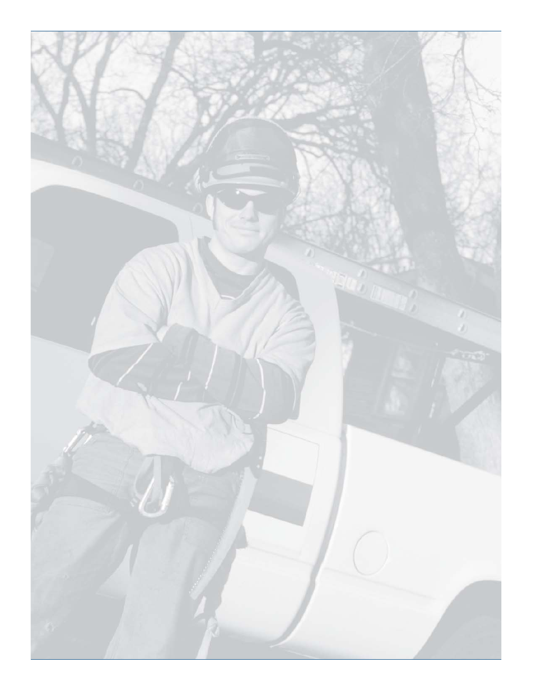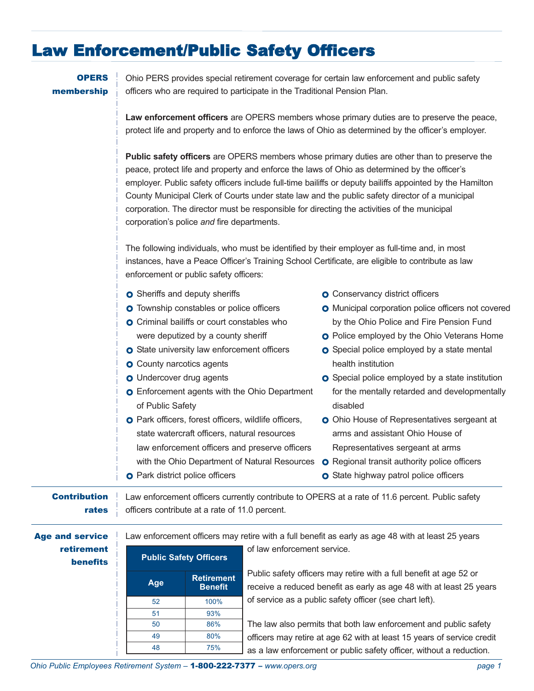### **OPERS** membership

Ohio PERS provides special retirement coverage for certain law enforcement and public safety officers who are required to participate in the Traditional Pension Plan.

**Law enforcement officers** are OPERS members whose primary duties are to preserve the peace, protect life and property and to enforce the laws of Ohio as determined by the officer's employer.

**Public safety officers** are OPERS members whose primary duties are other than to preserve the peace, protect life and property and enforce the laws of Ohio as determined by the officer's employer. Public safety officers include full-time bailiffs or deputy bailiffs appointed by the Hamilton County Municipal Clerk of Courts under state law and the public safety director of a municipal corporation. The director must be responsible for directing the activities of the municipal corporation's police *and* fire departments.

The following individuals, who must be identified by their employer as full-time and, in most instances, have a Peace Officer's Training School Certificate, are eligible to contribute as law enforcement or public safety officers:

- **O** Sheriffs and deputy sheriffs
- **O** Township constables or police officers
- **O** Criminal bailiffs or court constables who were deputized by a county sheriff
- **O** State university law enforcement officers
- **O** County narcotics agents
- **O** Undercover drug agents
- **O** Enforcement agents with the Ohio Department of Public Safety
- **O** Park officers, forest officers, wildlife officers, state watercraft officers, natural resources law enforcement officers and preserve officers with the Ohio Department of Natural Resources
- **O** Park district police officers
- **O** Conservancy district officers
- **O** Municipal corporation police officers not covered by the Ohio Police and Fire Pension Fund
- **O** Police employed by the Ohio Veterans Home
- **O** Special police employed by a state mental health institution
- **O** Special police employed by a state institution for the mentally retarded and developmentally disabled
- **O** Ohio House of Representatives sergeant at arms and assistant Ohio House of Representatives sergeant at arms
- **O** Regional transit authority police officers
- **O** State highway patrol police officers

Contribution rates

Law enforcement officers currently contribute to OPERS at a rate of 11.6 percent. Public safety officers contribute at a rate of 11.0 percent.

Age and service retirement benefits

| Law enforcement officers may retire with a full benefit as early as age 48 with at least 25 years |  |  |  |  |  |  |
|---------------------------------------------------------------------------------------------------|--|--|--|--|--|--|
|                                                                                                   |  |  |  |  |  |  |

**Public Safety Officers**

**Age Retirement Benefit** 52 100% 51 93% 50 86% 49 80%

48 75%

of law enforcement service.

Public safety officers may retire with a full benefit at age 52 or receive a reduced benefit as early as age 48 with at least 25 years of service as a public safety officer (see chart left).

The law also permits that both law enforcement and public safety officers may retire at age 62 with at least 15 years of service credit as a law enforcement or public safety officer, without a reduction.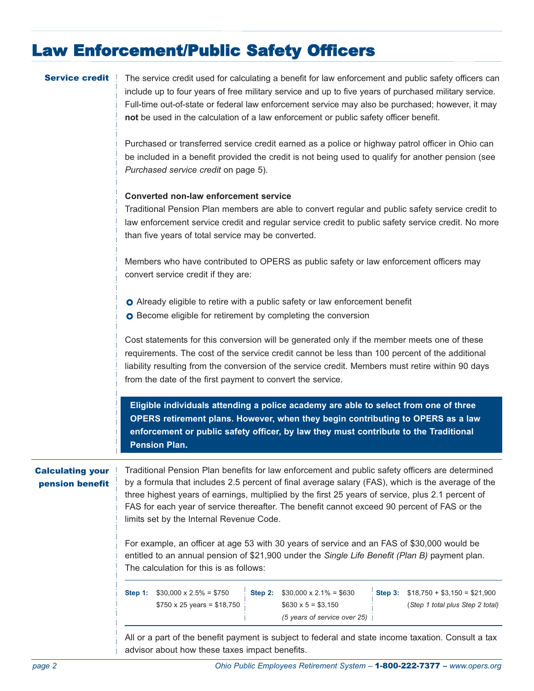#### Service credit

The service credit used for calculating a benefit for law enforcement and public safety officers can include up to four years of free military service and up to five years of purchased military service. Full-time out-of-state or federal law enforcement service may also be purchased; however, it may **not** be used in the calculation of a law enforcement or public safety officer benefit.

Purchased or transferred service credit earned as a police or highway patrol officer in Ohio can be included in a benefit provided the credit is not being used to qualify for another pension (see *Purchased service credit* on page 5).

### **Converted non-law enforcement service**

Traditional Pension Plan members are able to convert regular and public safety service credit to law enforcement service credit and regular service credit to public safety service credit. No more than five years of total service may be converted.

Members who have contributed to OPERS as public safety or law enforcement officers may convert service credit if they are:

- Already eligible to retire with a public safety or law enforcement benefit
- **O** Become eligible for retirement by completing the conversion

Cost statements for this conversion will be generated only if the member meets one of these requirements. The cost of the service credit cannot be less than 100 percent of the additional liability resulting from the conversion of the service credit. Members must retire within 90 days from the date of the first payment to convert the service.

**Eligible individuals attending a police academy are able to select from one of three OPERS retirement plans. However, when they begin contributing to OPERS as a law enforcement or public safety officer, by law they must contribute to the Traditional Pension Plan.**

### Calculating your pension benefit

Traditional Pension Plan benefits for law enforcement and public safety officers are determined by a formula that includes 2.5 percent of final average salary (FAS), which is the average of the three highest years of earnings, multiplied by the first 25 years of service, plus 2.1 percent of FAS for each year of service thereafter. The benefit cannot exceed 90 percent of FAS or the limits set by the Internal Revenue Code.

For example, an officer at age 53 with 30 years of service and an FAS of \$30,000 would be entitled to an annual pension of \$21,900 under the *Single Life Benefit (Plan B)* payment plan. The calculation for this is as follows:

| <b>Step 1:</b> $$30,000 \times 2.5\% = $750$ | <b>Step 2:</b> $$30,000 \times 2.1\% = $630$ | Step 3: $$18,750 + $3,150 = $21,900$ |
|----------------------------------------------|----------------------------------------------|--------------------------------------|
| $$750 \times 25 \text{ years} = $18,750$     | $$630 \times 5 = $3,150$                     | (Step 1 total plus Step 2 total)     |
|                                              | (5 years of service over 25)                 |                                      |

All or a part of the benefit payment is subject to federal and state income taxation. Consult a tax advisor about how these taxes impact benefits.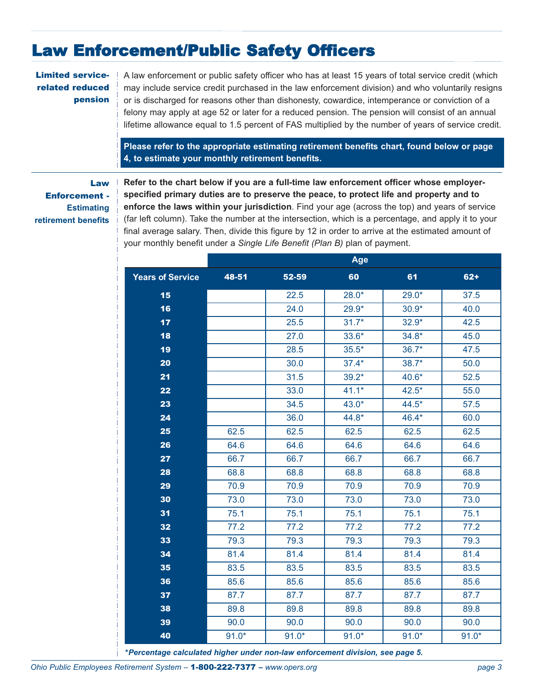### Limited servicerelated reduced pension

A law enforcement or public safety officer who has at least 15 years of total service credit (which may include service credit purchased in the law enforcement division) and who voluntarily resigns or is discharged for reasons other than dishonesty, cowardice, intemperance or conviction of a felony may apply at age 52 or later for a reduced pension. The pension will consist of an annual lifetime allowance equal to 1.5 percent of FAS multiplied by the number of years of service credit.

**Please refer to the appropriate estimating retirement benefits chart, found below or page 4, to estimate your monthly retirement benefits.** 

### Law Enforcement - **Estimating retirement benefits**

**Refer to the chart below if you are a full-time law enforcement officer whose employerspecified primary duties are to preserve the peace, to protect life and property and to enforce the laws within your jurisdiction**. Find your age (across the top) and years of service (far left column). Take the number at the intersection, which is a percentage, and apply it to your final average salary. Then, divide this figure by 12 in order to arrive at the estimated amount of your monthly benefit under a *Single Life Benefit (Plan B)* plan of payment.

|                         |         |         | Age     |         |         |
|-------------------------|---------|---------|---------|---------|---------|
| <b>Years of Service</b> | 48-51   | 52-59   | 60      | 61      | $62+$   |
| 15                      |         | 22.5    | $28.0*$ | $29.0*$ | 37.5    |
| 16                      |         | 24.0    | $29.9*$ | $30.9*$ | 40.0    |
| 17                      |         | 25.5    | $31.7*$ | $32.9*$ | 42.5    |
| 18                      |         | 27.0    | $33.6*$ | $34.8*$ | 45.0    |
| 19                      |         | 28.5    | $35.5*$ | $36.7*$ | 47.5    |
| 20                      |         | 30.0    | $37.4*$ | $38.7*$ | 50.0    |
| 21                      |         | 31.5    | $39.2*$ | $40.6*$ | 52.5    |
| 22                      |         | 33.0    | $41.1*$ | $42.5*$ | 55.0    |
| 23                      |         | 34.5    | $43.0*$ | $44.5*$ | 57.5    |
| 24                      |         | 36.0    | 44.8*   | 46.4*   | 60.0    |
| 25                      | 62.5    | 62.5    | 62.5    | 62.5    | 62.5    |
| 26                      | 64.6    | 64.6    | 64.6    | 64.6    | 64.6    |
| 27                      | 66.7    | 66.7    | 66.7    | 66.7    | 66.7    |
| 28                      | 68.8    | 68.8    | 68.8    | 68.8    | 68.8    |
| 29                      | 70.9    | 70.9    | 70.9    | 70.9    | 70.9    |
| 30                      | 73.0    | 73.0    | 73.0    | 73.0    | 73.0    |
| 31                      | 75.1    | 75.1    | 75.1    | 75.1    | 75.1    |
| 32                      | 77.2    | 77.2    | 77.2    | 77.2    | 77.2    |
| 33                      | 79.3    | 79.3    | 79.3    | 79.3    | 79.3    |
| 34                      | 81.4    | 81.4    | 81.4    | 81.4    | 81.4    |
| 35                      | 83.5    | 83.5    | 83.5    | 83.5    | 83.5    |
| 36                      | 85.6    | 85.6    | 85.6    | 85.6    | 85.6    |
| 37                      | 87.7    | 87.7    | 87.7    | 87.7    | 87.7    |
| 38                      | 89.8    | 89.8    | 89.8    | 89.8    | 89.8    |
| 39                      | 90.0    | 90.0    | 90.0    | 90.0    | 90.0    |
| 40                      | $91.0*$ | $91.0*$ | $91.0*$ | $91.0*$ | $91.0*$ |

*\*Percentage calculated higher under non-law enforcement division, see page 5.*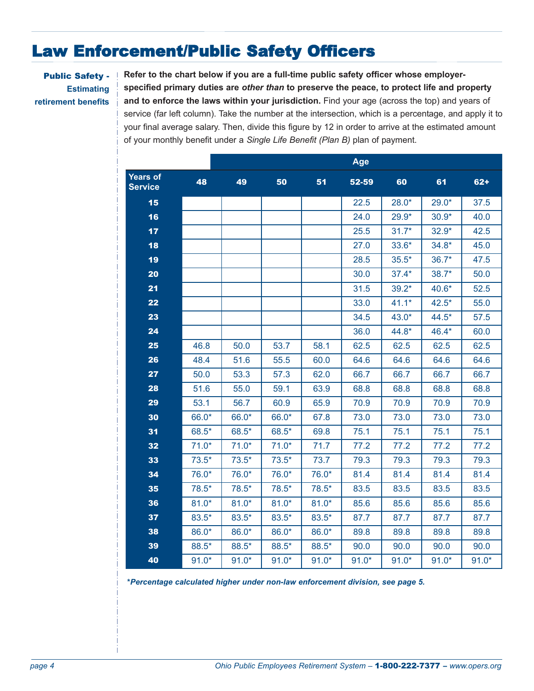### Public Safety - **Estimating retirement benefits**

**Refer to the chart below if you are a full-time public safety officer whose employerspecified primary duties are** *other than* **to preserve the peace, to protect life and property and to enforce the laws within your jurisdiction.** Find your age (across the top) and years of service (far left column). Take the number at the intersection, which is a percentage, and apply it to your final average salary. Then, divide this figure by 12 in order to arrive at the estimated amount of your monthly benefit under a *Single Life Benefit (Plan B)* plan of payment.

|                                   |         |         |         |         | Age     |         |         |         |
|-----------------------------------|---------|---------|---------|---------|---------|---------|---------|---------|
| <b>Years of</b><br><b>Service</b> | 48      | 49      | 50      | 51      | 52-59   | 60      | 61      | $62+$   |
| 15                                |         |         |         |         | 22.5    | $28.0*$ | $29.0*$ | 37.5    |
| 16                                |         |         |         |         | 24.0    | $29.9*$ | $30.9*$ | 40.0    |
| 17                                |         |         |         |         | 25.5    | $31.7*$ | $32.9*$ | 42.5    |
| 18                                |         |         |         |         | 27.0    | $33.6*$ | $34.8*$ | 45.0    |
| 19                                |         |         |         |         | 28.5    | $35.5*$ | $36.7*$ | 47.5    |
| 20                                |         |         |         |         | 30.0    | $37.4*$ | $38.7*$ | 50.0    |
| 21                                |         |         |         |         | 31.5    | $39.2*$ | $40.6*$ | 52.5    |
| 22                                |         |         |         |         | 33.0    | $41.1*$ | $42.5*$ | 55.0    |
| 23                                |         |         |         |         | 34.5    | $43.0*$ | $44.5*$ | 57.5    |
| 24                                |         |         |         |         | 36.0    | 44.8*   | 46.4*   | 60.0    |
| 25                                | 46.8    | 50.0    | 53.7    | 58.1    | 62.5    | 62.5    | 62.5    | 62.5    |
| 26                                | 48.4    | 51.6    | 55.5    | 60.0    | 64.6    | 64.6    | 64.6    | 64.6    |
| 27                                | 50.0    | 53.3    | 57.3    | 62.0    | 66.7    | 66.7    | 66.7    | 66.7    |
| 28                                | 51.6    | 55.0    | 59.1    | 63.9    | 68.8    | 68.8    | 68.8    | 68.8    |
| 29                                | 53.1    | 56.7    | 60.9    | 65.9    | 70.9    | 70.9    | 70.9    | 70.9    |
| 30                                | 66.0*   | 66.0*   | 66.0*   | 67.8    | 73.0    | 73.0    | 73.0    | 73.0    |
| 31                                | 68.5*   | 68.5*   | 68.5*   | 69.8    | 75.1    | 75.1    | 75.1    | 75.1    |
| 32                                | $71.0*$ | $71.0*$ | $71.0*$ | 71.7    | 77.2    | 77.2    | 77.2    | 77.2    |
| 33                                | $73.5*$ | $73.5*$ | $73.5*$ | 73.7    | 79.3    | 79.3    | 79.3    | 79.3    |
| 34                                | 76.0*   | 76.0*   | 76.0*   | 76.0*   | 81.4    | 81.4    | 81.4    | 81.4    |
| 35                                | 78.5*   | 78.5*   | 78.5*   | 78.5*   | 83.5    | 83.5    | 83.5    | 83.5    |
| 36                                | $81.0*$ | $81.0*$ | $81.0*$ | $81.0*$ | 85.6    | 85.6    | 85.6    | 85.6    |
| 37                                | 83.5*   | 83.5*   | 83.5*   | 83.5*   | 87.7    | 87.7    | 87.7    | 87.7    |
| 38                                | 86.0*   | 86.0*   | 86.0*   | 86.0*   | 89.8    | 89.8    | 89.8    | 89.8    |
| 39                                | 88.5*   | 88.5*   | 88.5*   | 88.5*   | 90.0    | 90.0    | 90.0    | 90.0    |
| 40                                | $91.0*$ | $91.0*$ | $91.0*$ | $91.0*$ | $91.0*$ | $91.0*$ | $91.0*$ | $91.0*$ |

*\*Percentage calculated higher under non-law enforcement division, see page 5.*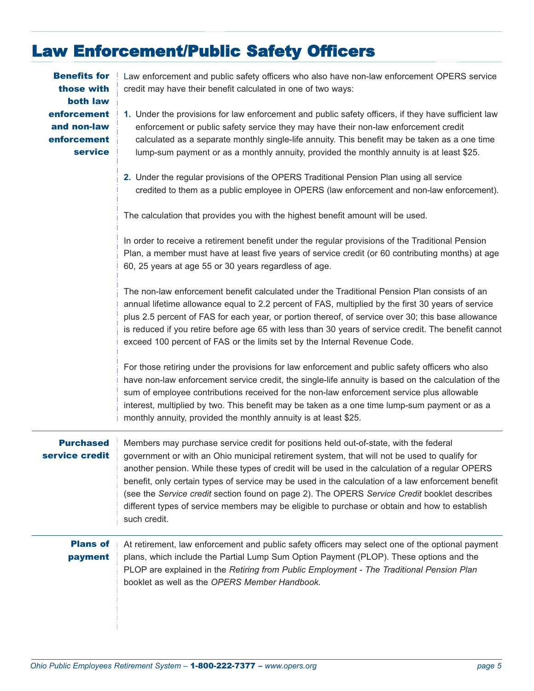| Law enforcement and public safety officers who also have non-law enforcement OPERS service                                                                                                                                                                                                                                                                                                                                                                                                                                                                                                      |
|-------------------------------------------------------------------------------------------------------------------------------------------------------------------------------------------------------------------------------------------------------------------------------------------------------------------------------------------------------------------------------------------------------------------------------------------------------------------------------------------------------------------------------------------------------------------------------------------------|
| 1. Under the provisions for law enforcement and public safety officers, if they have sufficient law<br>enforcement or public safety service they may have their non-law enforcement credit<br>calculated as a separate monthly single-life annuity. This benefit may be taken as a one time<br>lump-sum payment or as a monthly annuity, provided the monthly annuity is at least \$25.                                                                                                                                                                                                         |
| 2. Under the regular provisions of the OPERS Traditional Pension Plan using all service<br>credited to them as a public employee in OPERS (law enforcement and non-law enforcement).                                                                                                                                                                                                                                                                                                                                                                                                            |
|                                                                                                                                                                                                                                                                                                                                                                                                                                                                                                                                                                                                 |
| In order to receive a retirement benefit under the regular provisions of the Traditional Pension<br>Plan, a member must have at least five years of service credit (or 60 contributing months) at age                                                                                                                                                                                                                                                                                                                                                                                           |
| The non-law enforcement benefit calculated under the Traditional Pension Plan consists of an<br>annual lifetime allowance equal to 2.2 percent of FAS, multiplied by the first 30 years of service<br>plus 2.5 percent of FAS for each year, or portion thereof, of service over 30; this base allowance<br>is reduced if you retire before age 65 with less than 30 years of service credit. The benefit cannot                                                                                                                                                                                |
| For those retiring under the provisions for law enforcement and public safety officers who also<br>have non-law enforcement service credit, the single-life annuity is based on the calculation of the<br>sum of employee contributions received for the non-law enforcement service plus allowable<br>interest, multiplied by two. This benefit may be taken as a one time lump-sum payment or as a                                                                                                                                                                                            |
| Members may purchase service credit for positions held out-of-state, with the federal<br>government or with an Ohio municipal retirement system, that will not be used to qualify for<br>another pension. While these types of credit will be used in the calculation of a regular OPERS<br>benefit, only certain types of service may be used in the calculation of a law enforcement benefit<br>(see the Service credit section found on page 2). The OPERS Service Credit booklet describes<br>different types of service members may be eligible to purchase or obtain and how to establish |
| At retirement, law enforcement and public safety officers may select one of the optional payment<br>plans, which include the Partial Lump Sum Option Payment (PLOP). These options and the<br>PLOP are explained in the Retiring from Public Employment - The Traditional Pension Plan                                                                                                                                                                                                                                                                                                          |
|                                                                                                                                                                                                                                                                                                                                                                                                                                                                                                                                                                                                 |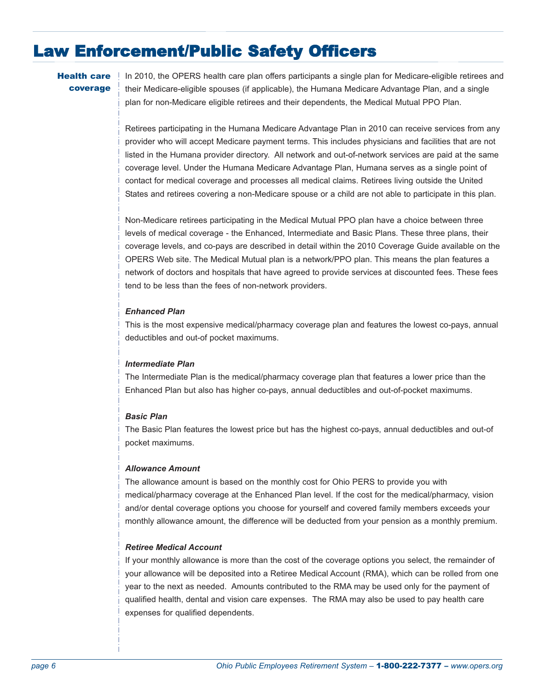### Health care coverage

In 2010, the OPERS health care plan offers participants a single plan for Medicare-eligible retirees and their Medicare-eligible spouses (if applicable), the Humana Medicare Advantage Plan, and a single plan for non-Medicare eligible retirees and their dependents, the Medical Mutual PPO Plan.

Retirees participating in the Humana Medicare Advantage Plan in 2010 can receive services from any provider who will accept Medicare payment terms. This includes physicians and facilities that are not listed in the Humana provider directory. All network and out-of-network services are paid at the same coverage level. Under the Humana Medicare Advantage Plan, Humana serves as a single point of contact for medical coverage and processes all medical claims. Retirees living outside the United States and retirees covering a non-Medicare spouse or a child are not able to participate in this plan.

Non-Medicare retirees participating in the Medical Mutual PPO plan have a choice between three levels of medical coverage - the Enhanced, Intermediate and Basic Plans. These three plans, their coverage levels, and co-pays are described in detail within the 2010 Coverage Guide available on the OPERS Web site. The Medical Mutual plan is a network/PPO plan. This means the plan features a network of doctors and hospitals that have agreed to provide services at discounted fees. These fees tend to be less than the fees of non-network providers.

### *Enhanced Plan*

This is the most expensive medical/pharmacy coverage plan and features the lowest co-pays, annual deductibles and out-of pocket maximums.

### *Intermediate Plan*

The Intermediate Plan is the medical/pharmacy coverage plan that features a lower price than the Enhanced Plan but also has higher co-pays, annual deductibles and out-of-pocket maximums.

### *Basic Plan*

The Basic Plan features the lowest price but has the highest co-pays, annual deductibles and out-of pocket maximums.

### *Allowance Amount*

The allowance amount is based on the monthly cost for Ohio PERS to provide you with medical/pharmacy coverage at the Enhanced Plan level. If the cost for the medical/pharmacy, vision and/or dental coverage options you choose for yourself and covered family members exceeds your monthly allowance amount, the difference will be deducted from your pension as a monthly premium.

### *Retiree Medical Account*

If your monthly allowance is more than the cost of the coverage options you select, the remainder of your allowance will be deposited into a Retiree Medical Account (RMA), which can be rolled from one year to the next as needed. Amounts contributed to the RMA may be used only for the payment of qualified health, dental and vision care expenses. The RMA may also be used to pay health care expenses for qualified dependents.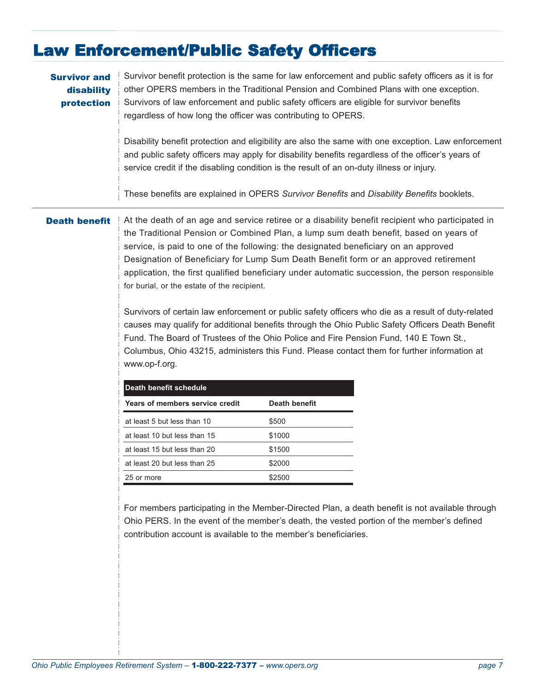Survivor and disability protection Survivor benefit protection is the same for law enforcement and public safety officers as it is for other OPERS members in the Traditional Pension and Combined Plans with one exception. Survivors of law enforcement and public safety officers are eligible for survivor benefits regardless of how long the officer was contributing to OPERS.

Disability benefit protection and eligibility are also the same with one exception. Law enforcement and public safety officers may apply for disability benefits regardless of the officer's years of service credit if the disabling condition is the result of an on-duty illness or injury.

These benefits are explained in OPERS *Survivor Benefits* and *Disability Benefits* booklets.

### Death benefit

At the death of an age and service retiree or a disability benefit recipient who participated in the Traditional Pension or Combined Plan, a lump sum death benefit, based on years of service, is paid to one of the following: the designated beneficiary on an approved Designation of Beneficiary for Lump Sum Death Benefit form or an approved retirement application, the first qualified beneficiary under automatic succession, the person responsible for burial, or the estate of the recipient.

Survivors of certain law enforcement or public safety officers who die as a result of duty-related causes may qualify for additional benefits through the Ohio Public Safety Officers Death Benefit Fund. The Board of Trustees of the Ohio Police and Fire Pension Fund, 140 E Town St., Columbus, Ohio 43215, administers this Fund. Please contact them for further information at www.op-f.org.

| Death benefit schedule          |               |
|---------------------------------|---------------|
| Years of members service credit | Death benefit |
| at least 5 but less than 10     | \$500         |
| at least 10 but less than 15    | \$1000        |
| at least 15 but less than 20    | \$1500        |
| at least 20 but less than 25    | \$2000        |
| 25 or more                      | \$2500        |

For members participating in the Member-Directed Plan, a death benefit is not available through Ohio PERS. In the event of the member's death, the vested portion of the member's defined contribution account is available to the member's beneficiaries.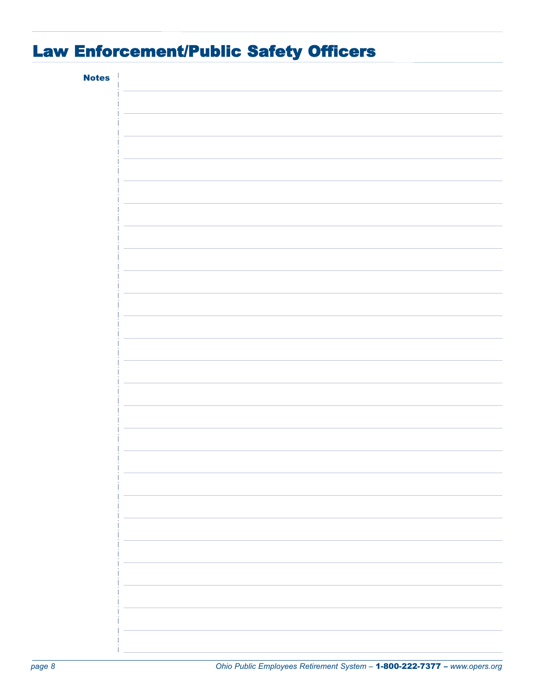| <b>Notes</b> |  |
|--------------|--|
|              |  |
|              |  |
|              |  |
|              |  |
|              |  |
|              |  |
|              |  |
|              |  |
|              |  |
|              |  |
|              |  |
|              |  |
|              |  |
|              |  |
|              |  |
|              |  |
|              |  |
|              |  |
|              |  |
|              |  |
|              |  |
|              |  |
|              |  |
|              |  |
|              |  |
|              |  |
|              |  |
|              |  |
|              |  |
|              |  |
|              |  |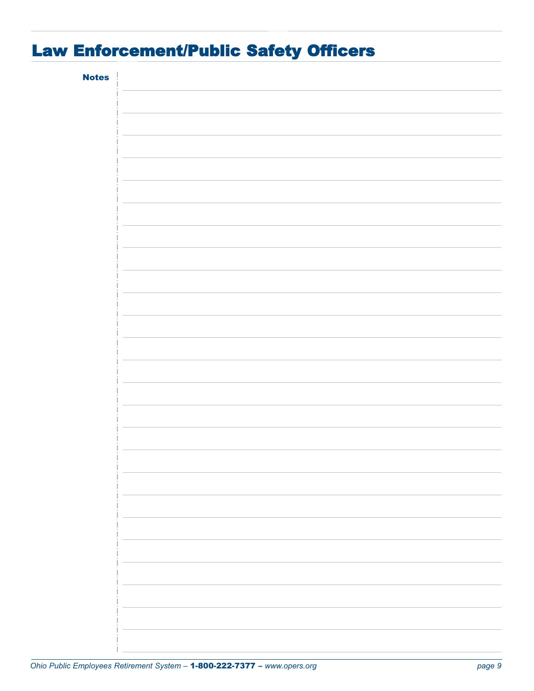| <b>Notes</b> |  |
|--------------|--|
|              |  |
|              |  |
|              |  |
|              |  |
|              |  |
|              |  |
|              |  |
|              |  |
|              |  |
|              |  |
|              |  |
|              |  |
|              |  |
|              |  |
|              |  |
|              |  |
|              |  |
|              |  |
|              |  |
|              |  |
|              |  |
|              |  |
|              |  |
|              |  |
|              |  |
|              |  |
|              |  |
|              |  |
|              |  |
|              |  |
|              |  |
|              |  |
|              |  |
|              |  |
|              |  |
|              |  |